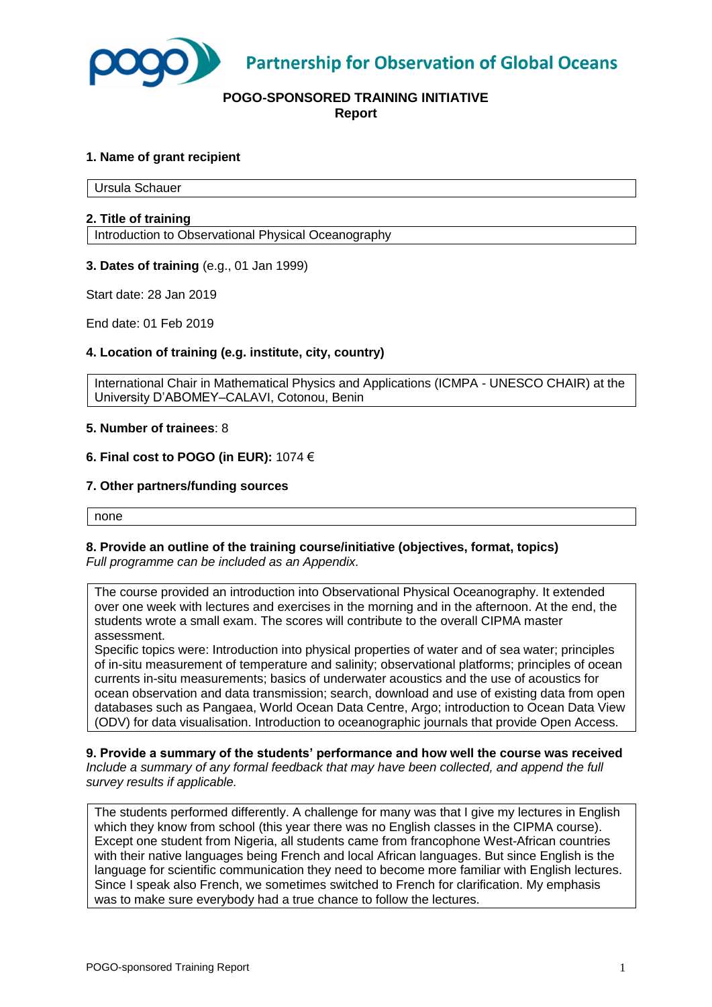

**Partnership for Observation of Global Oceans** 

# **POGO-SPONSORED TRAINING INITIATIVE Report**

# **1. Name of grant recipient**

Ursula Schauer

## **2. Title of training**

Introduction to Observational Physical Oceanography

#### **3. Dates of training** (e.g., 01 Jan 1999)

Start date: 28 Jan 2019

End date: 01 Feb 2019

#### **4. Location of training (e.g. institute, city, country)**

International Chair in Mathematical Physics and Applications (ICMPA - UNESCO CHAIR) at the University D'ABOMEY–CALAVI, Cotonou, Benin

## **5. Number of trainees**: 8

#### **6. Final cost to POGO (in EUR):** 1074 €

## **7. Other partners/funding sources**

none

#### **8. Provide an outline of the training course/initiative (objectives, format, topics)**  *Full programme can be included as an Appendix.*

The course provided an introduction into Observational Physical Oceanography. It extended over one week with lectures and exercises in the morning and in the afternoon. At the end, the students wrote a small exam. The scores will contribute to the overall CIPMA master assessment.

Specific topics were: Introduction into physical properties of water and of sea water; principles of in-situ measurement of temperature and salinity; observational platforms; principles of ocean currents in-situ measurements; basics of underwater acoustics and the use of acoustics for ocean observation and data transmission; search, download and use of existing data from open databases such as Pangaea, World Ocean Data Centre, Argo; introduction to Ocean Data View (ODV) for data visualisation. Introduction to oceanographic journals that provide Open Access.

**9. Provide a summary of the students' performance and how well the course was received** *Include a summary of any formal feedback that may have been collected, and append the full survey results if applicable.*

The students performed differently. A challenge for many was that I give my lectures in English which they know from school (this year there was no English classes in the CIPMA course). Except one student from Nigeria, all students came from francophone West-African countries with their native languages being French and local African languages. But since English is the language for scientific communication they need to become more familiar with English lectures. Since I speak also French, we sometimes switched to French for clarification. My emphasis was to make sure everybody had a true chance to follow the lectures.